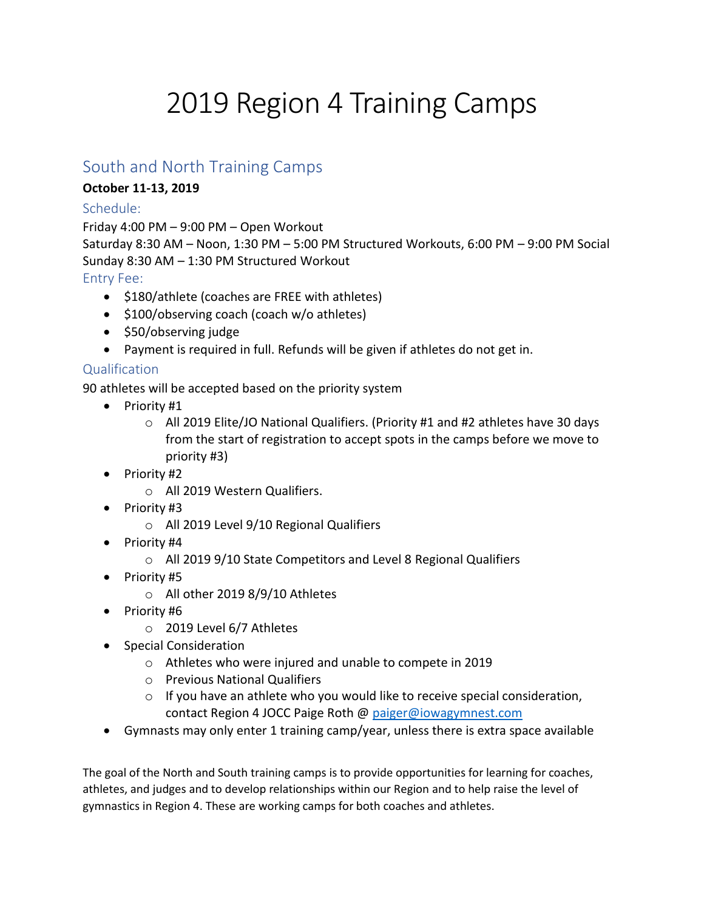# 2019 Region 4 Training Camps

### South and North Training Camps

#### **October 11-13, 2019**

#### Schedule:

Friday 4:00 PM – 9:00 PM – Open Workout Saturday 8:30 AM – Noon, 1:30 PM – 5:00 PM Structured Workouts, 6:00 PM – 9:00 PM Social Sunday 8:30 AM – 1:30 PM Structured Workout

Entry Fee:

- \$180/athlete (coaches are FREE with athletes)
- \$100/observing coach (coach w/o athletes)
- \$50/observing judge
- Payment is required in full. Refunds will be given if athletes do not get in.

#### **Qualification**

90 athletes will be accepted based on the priority system

- Priority #1
	- $\circ$  All 2019 Elite/JO National Qualifiers. (Priority #1 and #2 athletes have 30 days from the start of registration to accept spots in the camps before we move to priority #3)
- $\bullet$  Priority #2
	- o All 2019 Western Qualifiers.
- $\bullet$  Priority #3
	- o All 2019 Level 9/10 Regional Qualifiers
- Priority #4
	- o All 2019 9/10 State Competitors and Level 8 Regional Qualifiers
- Priority #5
	- o All other 2019 8/9/10 Athletes
- Priority #6
	- o 2019 Level 6/7 Athletes
- Special Consideration
	- o Athletes who were injured and unable to compete in 2019
	- o Previous National Qualifiers
	- $\circ$  If you have an athlete who you would like to receive special consideration, contact Region 4 JOCC Paige Roth @ [paiger@iowagymnest.com](mailto:paiger@iowagymnest.com)
- Gymnasts may only enter 1 training camp/year, unless there is extra space available

The goal of the North and South training camps is to provide opportunities for learning for coaches, athletes, and judges and to develop relationships within our Region and to help raise the level of gymnastics in Region 4. These are working camps for both coaches and athletes.